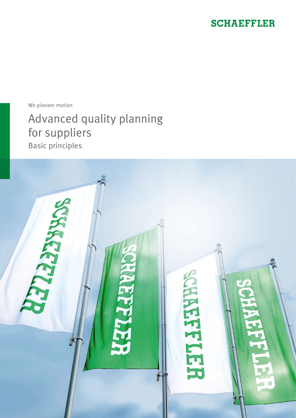### **SCHAEFFLER**

We pioneer motion

# Advanced quality planning for suppliers

Basic principles

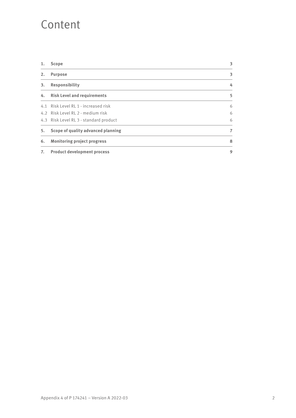### Content

| 1. | <b>Scope</b>                           | 3 |
|----|----------------------------------------|---|
| 2. | <b>Purpose</b>                         | 3 |
| 3. | <b>Responsibility</b>                  | 4 |
| 4. | <b>Risk Level and requirements</b>     | 5 |
|    | 4.1 Risk Level RL 1 - increased risk   | 6 |
|    | 4.2 Risk Level RL 2 - medium risk      | 6 |
|    | 4.3 Risk Level RL 3 - standard product | 6 |
| 5. | Scope of quality advanced planning     | 7 |
| 6. | <b>Monitoring project progress</b>     | 8 |
| 7. | <b>Product development process</b>     | 9 |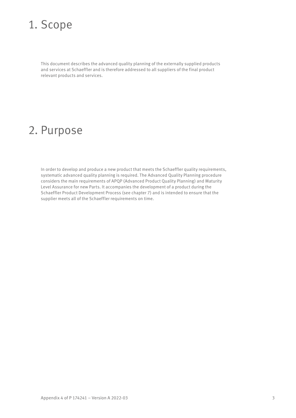### 1. Scope

This document describes the advanced quality planning of the externally supplied products and services at Schaeffler and is therefore addressed to all suppliers of the final product relevant products and services.

### 2. Purpose

In order to develop and produce a new product that meets the Schaeffler quality requirements, systematic advanced quality planning is required. The Advanced Quality Planning procedure considers the main requirements of APQP (Advanced Product Quality Planning) and Maturity Level Assurance for new Parts. It accompanies the development of a product during the Schaeffler Product Development Process (see chapter 7) and is intended to ensure that the supplier meets all of the Schaeffler requirements on time.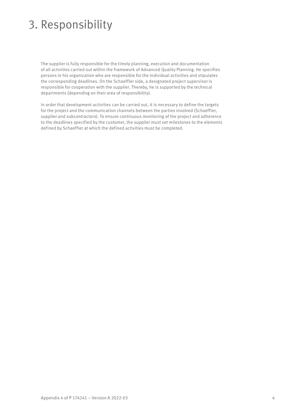## 3. Responsibility

The supplier is fully responsible for the timely planning, execution and documentation of all activities carried out within the framework of Advanced Quality Planning. He specifies persons in his organization who are responsible for the individual activities and stipulates the corresponding deadlines. On the Schaeffler side, a designated project supervisor is responsible for cooperation with the supplier. Thereby, he is supported by the technical departments (depending on their area of responsibility).

In order that development activities can be carried out, it is necessary to define the targets for the project and the communication channels between the parties involved (Schaeffler, supplier and subcontractors). To ensure continuous monitoring of the project and adherence to the deadlines specified by the customer, the supplier must set milestones to the elements defined by Schaeffler at which the defined activities must be completed.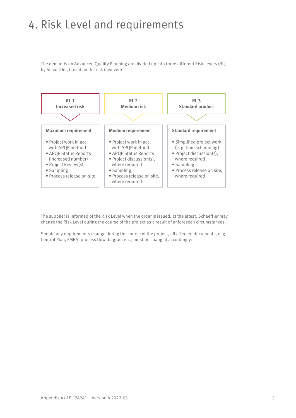### 4. Risk Level and requirements

The demands on Advanced Quality Planning are divided up into three different Risk Levels (RL) by Schaeffler, based on the risk involved:



The supplier is informed of the Risk Level when the order is issued, at the latest. Schaeffler may change the Risk Level during the course of the project as a result of unforeseen circumstances.

Should any requirements change during the course of the project, all affected documents, e. g. Control Plan, FMEA, process flow diagram etc., must be changed accordingly. nents change during the course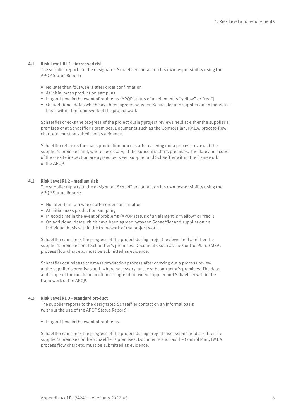#### **4.1 Risk Level RL 1 - increased risk**

The supplier reports to the designated Schaeffler contact on his own responsibility using the APQP Status Report:

- No later than four weeks after order confirmation
- At initial mass production sampling
- In good time in the event of problems (APQP status of an element is "yellow" or "red")
- On additional dates which have been agreed between Schaeffler and supplier on an individual basis within the framework of the project work.

Schaeffler checks the progress of the project during project reviews held at either the supplier's premises or at Schaeffler's premises. Documents such as the Control Plan, FMEA, process flow chart etc. must be submitted as evidence.

Schaeffler releases the mass production process after carrying out a process review at the supplier's premises and, where necessary, at the subcontractor's premises. The date and scope of the on-site inspection are agreed between supplier and Schaeffler within the framework of the APQP.

#### **4.2 Risk Level RL 2 - medium risk**

The supplier reports to the designated Schaeffler contact on his own responsibility using the APQP Status Report:

- No later than four weeks after order confirmation
- At initial mass production sampling
- In good time in the event of problems (APQP status of an element is "yellow" or "red")
- On additional dates which have been agreed between Schaeffler and supplier on an individual basis within the framework of the project work.

Schaeffler can check the progress of the project during project reviews held at either the supplier's premises or at Schaeffler's premises. Documents such as the Control Plan, FMEA, process flow chart etc. must be submitted as evidence.

Schaeffler can release the mass production process after carrying out a process review at the supplier's premises and, where necessary, at the subcontractor's premises. The date and scope of the onsite inspection are agreed between supplier and Schaeffler within the framework of the APQP.

#### **4.3 Risk Level RL 3 - standard product**

The supplier reports to the designated Schaeffler contact on an informal basis (without the use of the APQP Status Report):

• In good time in the event of problems

Schaeffler can check the progress of the project during project discussions held at either the supplier's premises or the Schaeffler's premises. Documents such as the Control Plan, FMEA, process flow chart etc. must be submitted as evidence.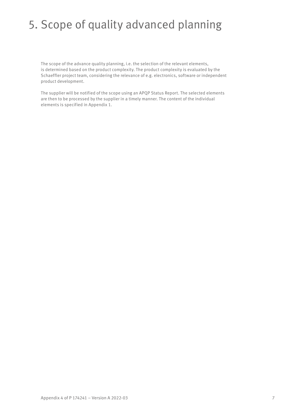### 5. Scope of quality advanced planning

The scope of the advance quality planning, i.e. the selection of the relevant elements, is determined based on the product complexity. The product complexity is evaluated by the Schaeffler project team, considering the relevance of e.g. electronics, software or independent product development.

The supplier will be notified of the scope using an APQP Status Report. The selected elements are then to be processed by the supplier in a timely manner. The content of the individual elements is specified in Appendix 1.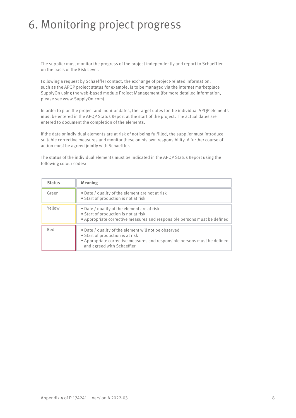### 6. Monitoring project progress

The supplier must monitor the progress of the project independently and report to Schaeffler on the basis of the Risk Level.

Following a request by Schaeffler contact, the exchange of project-related information, **Increased risk Medium risk Standard product** such as the APQP project status for example, is to be managed via the internet marketplace SupplyOn using the web-based module Project Management (for more detailed information, please see www.SupplyOn.com).

In order to plan the project and monitor dates, the target dates for the individual APQP elements **Maximum requirement Medium requirement Standard requirement** must be entered in the APQP Status Report at the start of the project. The actual dates are • Project work in acc. • Project work in acc. • Simplified project work entered to document the completion of the elements.

If the date or individual elements are at risk of not being fulfilled, the supplier must introduce n the date or individual elements are at risk of not being fulffiled, the supplier must introduce<br>suitable corrective measures and monitor these on his own responsibility. A further course of action must be agreed jointly with Schaeffler. riable corrective life • Project discussion(s), where the second in supplier must int pility. A furti

The status of the individual elements must be indicated in the APQP Status Report using the following colour codes: s must be mulcat where required

| <b>Status</b> | Meaning                                                                                                                                                                                             |
|---------------|-----------------------------------------------------------------------------------------------------------------------------------------------------------------------------------------------------|
| Green         | • Date / quality of the element are not at risk<br>• Start of production is not at risk                                                                                                             |
| Yellow        | • Date / quality of the element are at risk<br>• Start of production is not at risk<br>• Appropriate corrective measures and responsible persons must be defined                                    |
| Red           | • Date / quality of the element will not be observed<br>• Start of production is at risk<br>• Appropriate corrective measures and responsible persons must be defined<br>and agreed with Schaeffler |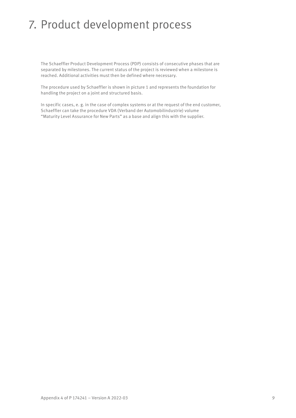### 7. Product development process

The Schaeffler Product Development Process (PDP) consists of consecutive phases that are separated by milestones. The current status of the project is reviewed when a milestone is reached. Additional activities must then be defined where necessary.

The procedure used by Schaeffler is shown in picture 1 and represents the foundation for handling the project on a joint and structured basis.

In specific cases, e. g. in the case of complex systems or at the request of the end customer, Schaeffler can take the procedure VDA (Verband der Automobilindustrie) volume "Maturity Level Assurance for New Parts" as a base and align this with the supplier.